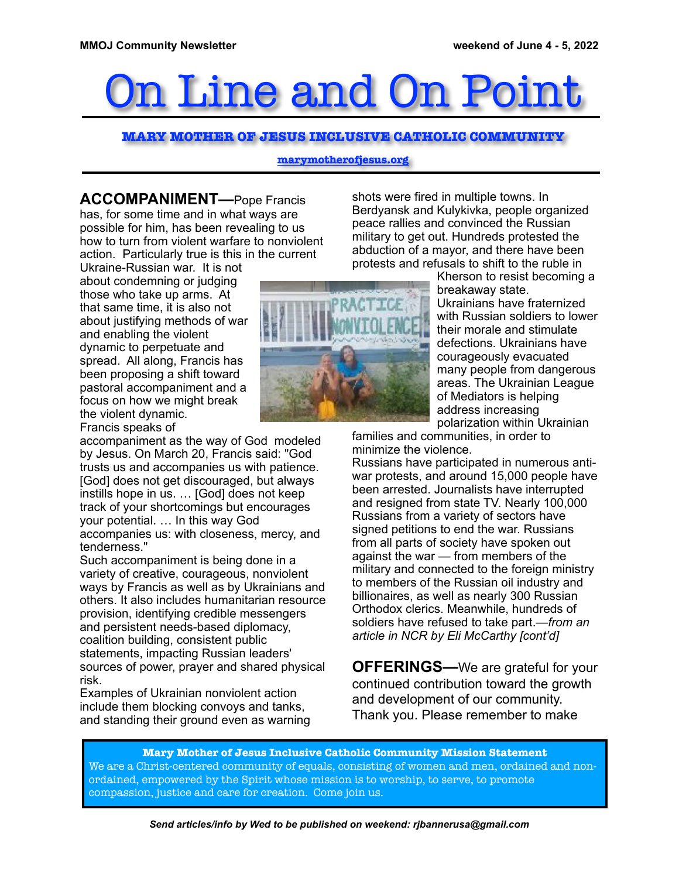# Line and On

#### **MARY MOTHER OF JESUS INCLUSIVE CATHOLIC COMMUNITY**

#### **marymotherofjesus.org**

**ACCOMPANIMENT—**Pope Francis has, for some time and in what ways are possible for him, has been revealing to us how to turn from violent warfare to nonviolent action. Particularly true is this in the current

Ukraine-Russian war. It is not about condemning or judging those who take up arms. At that same time, it is also not about justifying methods of war and enabling the violent dynamic to perpetuate and spread. All along, Francis has been proposing a shift toward pastoral accompaniment and a focus on how we might break the violent dynamic. Francis speaks of

accompaniment as the way of God modeled by Jesus. On March 20, Francis said: "God trusts us and accompanies us with patience. [God] does not get discouraged, but always instills hope in us. … [God] does not keep track of your shortcomings but encourages your potential. … In this way God accompanies us: with closeness, mercy, and tenderness."

Such accompaniment is being done in a variety of creative, courageous, nonviolent ways by Francis as well as by Ukrainians and others. It also includes humanitarian resource provision, identifying credible messengers and persistent needs-based diplomacy, coalition building, consistent public statements, impacting Russian leaders' sources of power, prayer and shared physical risk.

Examples of Ukrainian nonviolent action include them blocking convoys and tanks, and standing their ground even as warning shots were fired in multiple towns. In Berdyansk and Kulykіvka, people organized peace rallies and convinced the Russian military to get out. Hundreds protested the abduction of a mayor, and there have been protests and refusals to shift to the ruble in



Kherson to resist becoming a breakaway state. Ukrainians have fraternized with Russian soldiers to lower their morale and stimulate defections. Ukrainians have courageously evacuated many people from dangerous areas. The Ukrainian League of Mediators is helping address increasing polarization within Ukrainian

families and communities, in order to minimize the violence.

Russians have participated in numerous antiwar protests, and around 15,000 people have been arrested. Journalists have interrupted and resigned from state TV. Nearly 100,000 Russians from a variety of sectors have signed petitions to end the war. Russians from all parts of society have spoken out against the war — from members of the military and connected to the foreign ministry to members of the Russian oil industry and billionaires, as well as nearly 300 Russian Orthodox clerics. Meanwhile, hundreds of soldiers have refused to take part.*—from an article in NCR by Eli McCarthy [cont'd]* 

**OFFERINGS—**We are grateful for your continued contribution toward the growth and development of our community. Thank you. Please remember to make

**Mary Mother of Jesus Inclusive Catholic Community Mission Statement** We are a Christ-centered community of equals, consisting of women and men, ordained and nonordained, empowered by the Spirit whose mission is to worship, to serve, to promote compassion, justice and care for creation. Come join us.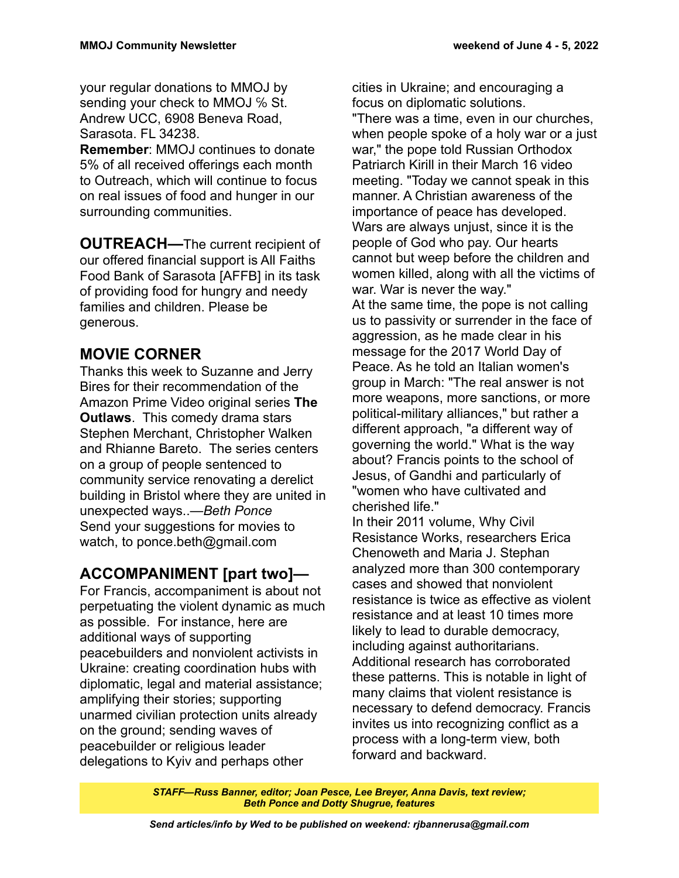your regular donations to MMOJ by sending your check to MMOJ % St. Andrew UCC, 6908 Beneva Road, Sarasota. FL 34238.

**Remember**: MMOJ continues to donate 5% of all received offerings each month to Outreach, which will continue to focus on real issues of food and hunger in our surrounding communities.

**OUTREACH—The current recipient of** our offered financial support is All Faiths Food Bank of Sarasota [AFFB] in its task of providing food for hungry and needy families and children. Please be generous.

### **MOVIE CORNER**

Thanks this week to Suzanne and Jerry Bires for their recommendation of the Amazon Prime Video original series **The Outlaws**. This comedy drama stars Stephen Merchant, Christopher Walken and Rhianne Bareto. The series centers on a group of people sentenced to community service renovating a derelict building in Bristol where they are united in unexpected ways..*—Beth Ponce* Send your suggestions for movies to watch, to ponce.beth@gmail.com

## **ACCOMPANIMENT [part two]—**

For Francis, accompaniment is about not perpetuating the violent dynamic as much as possible. For instance, here are additional ways of supporting peacebuilders and nonviolent activists in Ukraine: creating coordination hubs with diplomatic, legal and material assistance; amplifying their stories; supporting unarmed civilian protection units already on the ground; sending waves of peacebuilder or religious leader delegations to Kyiv and perhaps other

cities in Ukraine; and encouraging a focus on diplomatic solutions. "There was a time, even in our churches, when people spoke of a holy war or a just war," the pope told Russian Orthodox Patriarch Kirill in their March 16 video meeting. "Today we cannot speak in this manner. A Christian awareness of the importance of peace has developed. Wars are always uniust, since it is the people of God who pay. Our hearts cannot but weep before the children and women killed, along with all the victims of war. War is never the way." At the same time, the pope is not calling us to passivity or surrender in the face of aggression, as he made clear in his message for the 2017 World Day of Peace. As he told an Italian women's group in March: "The real answer is not more weapons, more sanctions, or more political-military alliances," but rather a different approach, "a different way of governing the world." What is the way about? Francis points to the school of Jesus, of Gandhi and particularly of "women who have cultivated and cherished life."

In their 2011 volume, Why Civil Resistance Works, researchers Erica Chenoweth and Maria J. Stephan analyzed more than 300 contemporary cases and showed that nonviolent resistance is twice as effective as violent resistance and at least 10 times more likely to lead to durable democracy, including against authoritarians. Additional research has corroborated these patterns. This is notable in light of many claims that violent resistance is necessary to defend democracy. Francis invites us into recognizing conflict as a process with a long-term view, both forward and backward.

*STAFF—Russ Banner, editor; Joan Pesce, Lee Breyer, Anna Davis, text review; Beth Ponce and Dotty Shugrue, features*